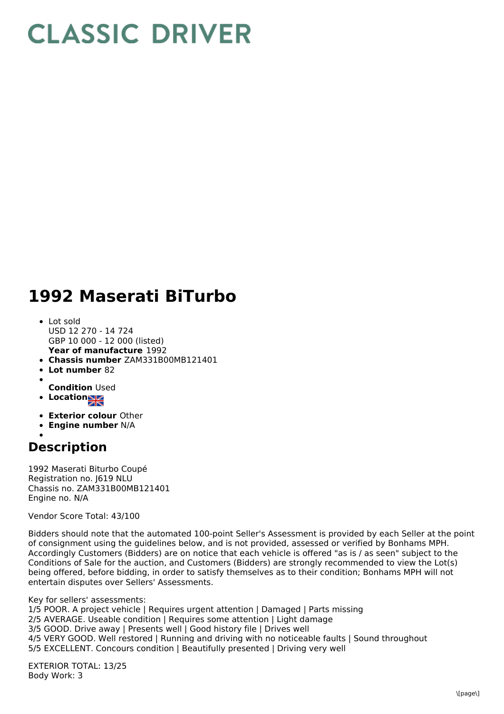## **CLASSIC DRIVER**

## **1992 Maserati BiTurbo**

- **Year of manufacture** 1992 Lot sold USD 12 270 - 14 724 GBP 10 000 - 12 000 (listed)
- **Chassis number** ZAM331B00MB121401
- **Lot number** 82
- 
- **Condition** Used
- **Locations**
- **Exterior colour** Other
- **Engine number** N/A
- 

## **Description**

1992 Maserati Biturbo Coupé Registration no. J619 NLU Chassis no. ZAM331B00MB121401 Engine no. N/A

Vendor Score Total: 43/100

Bidders should note that the automated 100-point Seller's Assessment is provided by each Seller at the point of consignment using the guidelines below, and is not provided, assessed or verified by Bonhams MPH. Accordingly Customers (Bidders) are on notice that each vehicle is offered "as is / as seen" subject to the Conditions of Sale for the auction, and Customers (Bidders) are strongly recommended to view the Lot(s) being offered, before bidding, in order to satisfy themselves as to their condition; Bonhams MPH will not entertain disputes over Sellers' Assessments.

Key for sellers' assessments:

1/5 POOR. A project vehicle | Requires urgent attention | Damaged | Parts missing 2/5 AVERAGE. Useable condition | Requires some attention | Light damage

- 3/5 GOOD. Drive away | Presents well | Good history file | Drives well
- 4/5 VERY GOOD. Well restored | Running and driving with no noticeable faults | Sound throughout

5/5 EXCELLENT. Concours condition | Beautifully presented | Driving very well

EXTERIOR TOTAL: 13/25 Body Work: 3